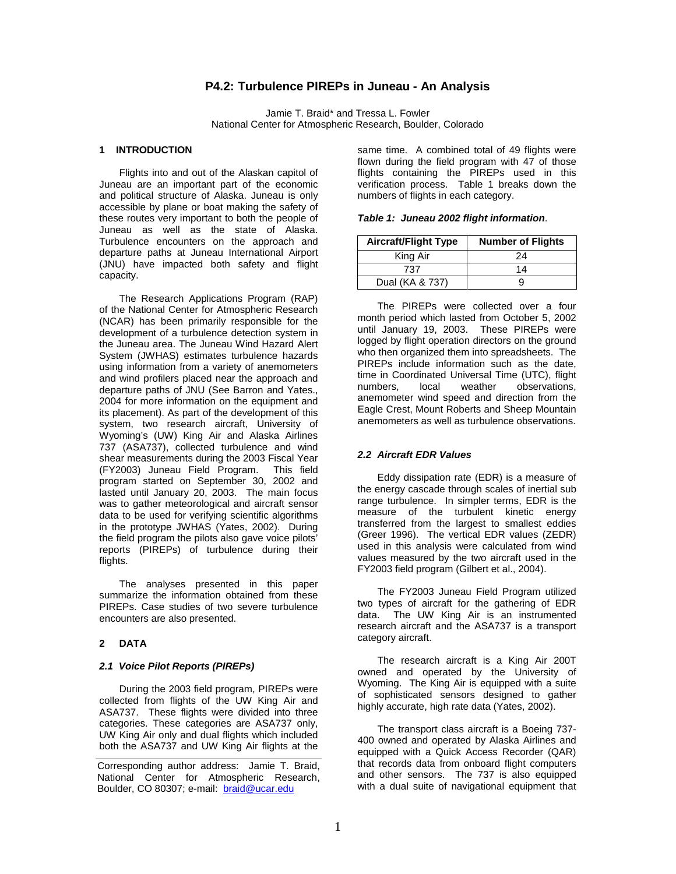# **P4.2: Turbulence PIREPs in Juneau - An Analysis**

Jamie T. Braid\* and Tressa L. Fowler National Center for Atmospheric Research, Boulder, Colorado

#### **1 INTRODUCTION**

Flights into and out of the Alaskan capitol of Juneau are an important part of the economic and political structure of Alaska. Juneau is only accessible by plane or boat making the safety of these routes very important to both the people of Juneau as well as the state of Alaska. Turbulence encounters on the approach and departure paths at Juneau International Airport (JNU) have impacted both safety and flight capacity.

The Research Applications Program (RAP) of the National Center for Atmospheric Research (NCAR) has been primarily responsible for the development of a turbulence detection system in the Juneau area. The Juneau Wind Hazard Alert System (JWHAS) estimates turbulence hazards using information from a variety of anemometers and wind profilers placed near the approach and departure paths of JNU (See Barron and Yates., 2004 for more information on the equipment and its placement). As part of the development of this system, two research aircraft, University of Wyoming's (UW) King Air and Alaska Airlines 737 (ASA737), collected turbulence and wind shear measurements during the 2003 Fiscal Year (FY2003) Juneau Field Program. This field program started on September 30, 2002 and lasted until January 20, 2003. The main focus was to gather meteorological and aircraft sensor data to be used for verifying scientific algorithms in the prototype JWHAS (Yates, 2002). During the field program the pilots also gave voice pilots' reports (PIREPs) of turbulence during their flights.

The analyses presented in this paper summarize the information obtained from these PIREPs. Case studies of two severe turbulence encounters are also presented.

#### **2 DATA**

### **2.1 Voice Pilot Reports (PIREPs)**

During the 2003 field program, PIREPs were collected from flights of the UW King Air and ASA737. These flights were divided into three categories. These categories are ASA737 only, UW King Air only and dual flights which included both the ASA737 and UW King Air flights at the

Corresponding author address: Jamie T. Braid, National Center for Atmospheric Research, Boulder, CO 80307; e-mail: braid@ucar.edu

same time. A combined total of 49 flights were flown during the field program with 47 of those flights containing the PIREPs used in this verification process. Table 1 breaks down the numbers of flights in each category.

|  |  | Table 1: Juneau 2002 flight information. |
|--|--|------------------------------------------|
|--|--|------------------------------------------|

| <b>Aircraft/Flight Type</b> | <b>Number of Flights</b> |  |
|-----------------------------|--------------------------|--|
| King Air                    | 24                       |  |
| 737                         | 14                       |  |
| Dual (KA & 737)             |                          |  |

The PIREPs were collected over a four month period which lasted from October 5, 2002 until January 19, 2003. These PIREPs were logged by flight operation directors on the ground who then organized them into spreadsheets. The PIREPs include information such as the date, time in Coordinated Universal Time (UTC), flight local weather observations, anemometer wind speed and direction from the Eagle Crest, Mount Roberts and Sheep Mountain anemometers as well as turbulence observations.

## **2.2 Aircraft EDR Values**

Eddy dissipation rate (EDR) is a measure of the energy cascade through scales of inertial sub range turbulence. In simpler terms, EDR is the measure of the turbulent kinetic energy transferred from the largest to smallest eddies (Greer 1996). The vertical EDR values (ZEDR) used in this analysis were calculated from wind values measured by the two aircraft used in the FY2003 field program (Gilbert et al., 2004).

The FY2003 Juneau Field Program utilized two types of aircraft for the gathering of EDR data. The UW King Air is an instrumented research aircraft and the ASA737 is a transport category aircraft.

The research aircraft is a King Air 200T owned and operated by the University of Wyoming. The King Air is equipped with a suite of sophisticated sensors designed to gather highly accurate, high rate data (Yates, 2002).

The transport class aircraft is a Boeing 737- 400 owned and operated by Alaska Airlines and equipped with a Quick Access Recorder (QAR) that records data from onboard flight computers and other sensors. The 737 is also equipped with a dual suite of navigational equipment that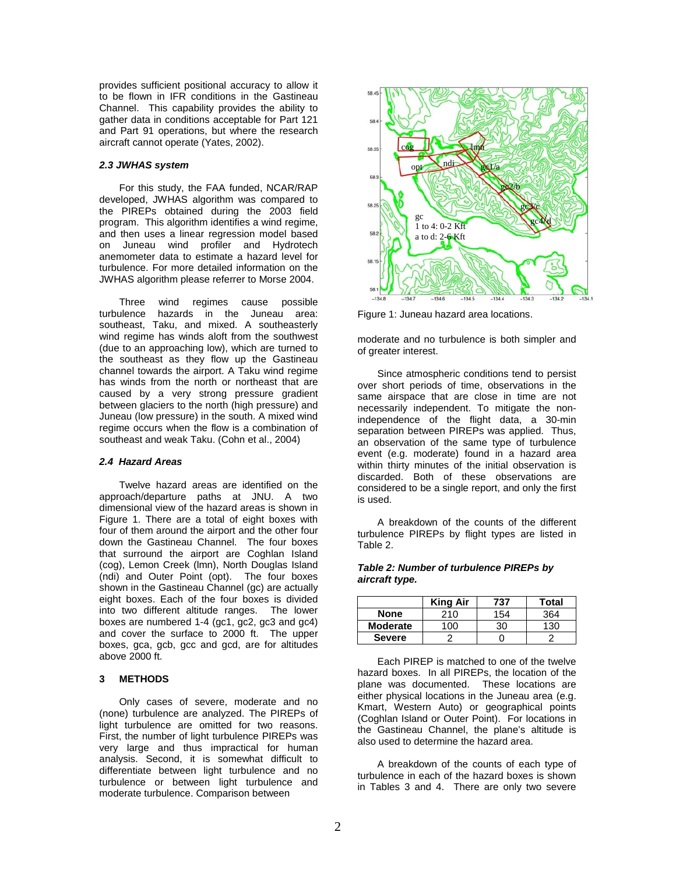provides sufficient positional accuracy to allow it to be flown in IFR conditions in the Gastineau Channel. This capability provides the ability to gather data in conditions acceptable for Part 121 and Part 91 operations, but where the research aircraft cannot operate (Yates, 2002).

## **2.3 JWHAS system**

For this study, the FAA funded, NCAR/RAP developed, JWHAS algorithm was compared to the PIREPs obtained during the 2003 field program. This algorithm identifies a wind regime, and then uses a linear regression model based on Juneau wind profiler and Hydrotech anemometer data to estimate a hazard level for turbulence. For more detailed information on the JWHAS algorithm please referrer to Morse 2004.

Three wind regimes cause possible turbulence hazards in the Juneau area: southeast, Taku, and mixed. A southeasterly wind regime has winds aloft from the southwest (due to an approaching low), which are turned to the southeast as they flow up the Gastineau channel towards the airport. A Taku wind regime has winds from the north or northeast that are caused by a very strong pressure gradient between glaciers to the north (high pressure) and Juneau (low pressure) in the south. A mixed wind regime occurs when the flow is a combination of southeast and weak Taku. (Cohn et al., 2004)

## **2.4 Hazard Areas**

Twelve hazard areas are identified on the approach/departure paths at JNU. A two dimensional view of the hazard areas is shown in Figure 1. There are a total of eight boxes with four of them around the airport and the other four down the Gastineau Channel. The four boxes that surround the airport are Coghlan Island (cog), Lemon Creek (lmn), North Douglas Island (ndi) and Outer Point (opt). The four boxes shown in the Gastineau Channel (gc) are actually eight boxes. Each of the four boxes is divided into two different altitude ranges. The lower boxes are numbered 1-4 (gc1, gc2, gc3 and gc4) and cover the surface to 2000 ft. The upper boxes, gca, gcb, gcc and gcd, are for altitudes above 2000 ft.

## **3 METHODS**

Only cases of severe, moderate and no (none) turbulence are analyzed. The PIREPs of light turbulence are omitted for two reasons. First, the number of light turbulence PIREPs was very large and thus impractical for human analysis. Second, it is somewhat difficult to differentiate between light turbulence and no turbulence or between light turbulence and moderate turbulence. Comparison between



Figure 1: Juneau hazard area locations.

moderate and no turbulence is both simpler and of greater interest.

Since atmospheric conditions tend to persist over short periods of time, observations in the same airspace that are close in time are not necessarily independent. To mitigate the nonindependence of the flight data, a 30-min separation between PIREPs was applied. Thus, an observation of the same type of turbulence event (e.g. moderate) found in a hazard area within thirty minutes of the initial observation is discarded. Both of these observations are considered to be a single report, and only the first is used.

A breakdown of the counts of the different turbulence PIREPs by flight types are listed in Table 2.

#### **Table 2: Number of turbulence PIREPs by aircraft type.**

|                 | <b>King Air</b> | 737 | Total |
|-----------------|-----------------|-----|-------|
| <b>None</b>     | 210             | 154 | 364   |
| <b>Moderate</b> | 100             | ٩Λ  | 130   |
| <b>Severe</b>   |                 |     |       |

Each PIREP is matched to one of the twelve hazard boxes. In all PIREPs, the location of the plane was documented. These locations are either physical locations in the Juneau area (e.g. Kmart, Western Auto) or geographical points (Coghlan Island or Outer Point). For locations in the Gastineau Channel, the plane's altitude is also used to determine the hazard area.

A breakdown of the counts of each type of turbulence in each of the hazard boxes is shown in Tables 3 and 4. There are only two severe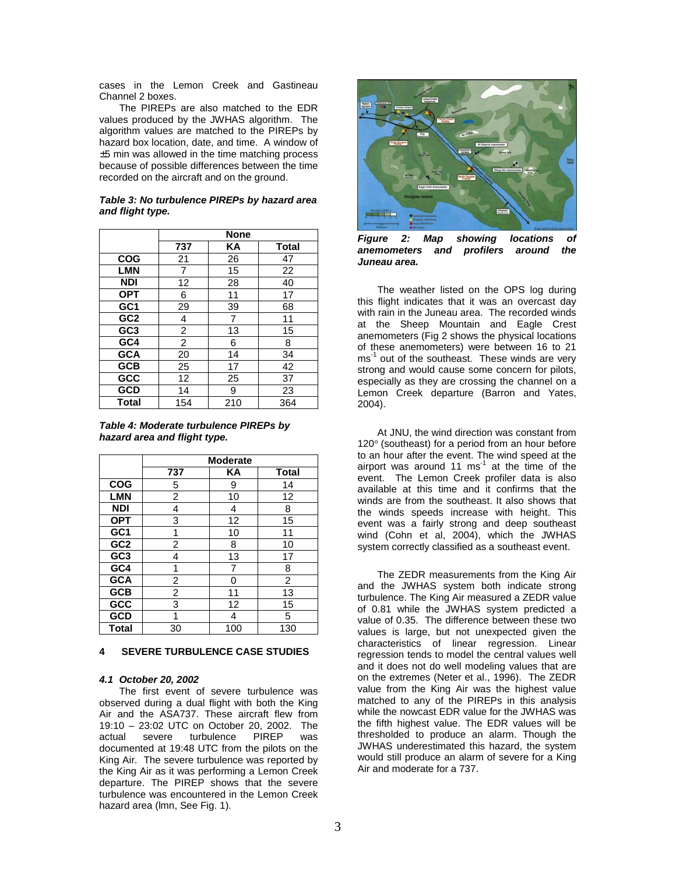cases in the Lemon Creek and Gastineau Channel 2 boxes.

The PIREPs are also matched to the EDR values produced by the JWHAS algorithm. The algorithm values are matched to the PIREPs by hazard box location, date, and time. A window of ±5 min was allowed in the time matching process because of possible differences between the time recorded on the aircraft and on the ground.

| Table 3: No turbulence PIREPs by hazard area |  |
|----------------------------------------------|--|
| and flight type.                             |  |

|                 | <b>None</b> |     |       |
|-----------------|-------------|-----|-------|
|                 | 737         | ΚA  | Total |
| <b>COG</b>      | 21          | 26  | 47    |
| <b>LMN</b>      | 7           | 15  | 22    |
| <b>NDI</b>      | 12          | 28  | 40    |
| <b>OPT</b>      | 6           | 11  | 17    |
| GC1             | 29          | 39  | 68    |
| GC <sub>2</sub> | 4           | 7   | 11    |
| GC <sub>3</sub> | 2           | 13  | 15    |
| GC4             | 2           | 6   | 8     |
| <b>GCA</b>      | 20          | 14  | 34    |
| <b>GCB</b>      | 25          | 17  | 42    |
| <b>GCC</b>      | 12          | 25  | 37    |
| <b>GCD</b>      | 14          | 9   | 23    |
| <b>Total</b>    | 154         | 210 | 364   |

**Table 4: Moderate turbulence PIREPs by hazard area and flight type.** 

|                 | <b>Moderate</b> |     |                |
|-----------------|-----------------|-----|----------------|
|                 | 737             | KA  | <b>Total</b>   |
| <b>COG</b>      | 5               | 9   | 14             |
| <b>LMN</b>      | $\overline{c}$  | 10  | 12             |
| <b>NDI</b>      | 4               | 4   | 8              |
| <b>OPT</b>      | 3               | 12  | 15             |
| GC1             | 1               | 10  | 11             |
| GC <sub>2</sub> | 2               | 8   | 10             |
| GC <sub>3</sub> | 4               | 13  | 17             |
| GC4             | 1               | 7   | 8              |
| <b>GCA</b>      | 2               | ი   | $\overline{2}$ |
| <b>GCB</b>      | $\overline{c}$  | 11  | 13             |
| GCC             | 3               | 12  | 15             |
| <b>GCD</b>      |                 | 4   | 5              |
| <b>Total</b>    | 30              | 100 | 130            |

#### **4 SEVERE TURBULENCE CASE STUDIES**

## **4.1 October 20, 2002**

The first event of severe turbulence was observed during a dual flight with both the King Air and the ASA737. These aircraft flew from 19:10 – 23:02 UTC on October 20, 2002. The actual severe turbulence PIREP was documented at 19:48 UTC from the pilots on the King Air. The severe turbulence was reported by the King Air as it was performing a Lemon Creek departure. The PIREP shows that the severe turbulence was encountered in the Lemon Creek hazard area (lmn, See Fig. 1).



**Figure 2: Map showing locations of anemometers and profilers around the Juneau area.** 

The weather listed on the OPS log during this flight indicates that it was an overcast day with rain in the Juneau area. The recorded winds at the Sheep Mountain and Eagle Crest anemometers (Fig 2 shows the physical locations of these anemometers) were between 16 to 21 ms<sup>-1</sup> out of the southeast. These winds are very strong and would cause some concern for pilots, especially as they are crossing the channel on a Lemon Creek departure (Barron and Yates, 2004).

At JNU, the wind direction was constant from 120° (southeast) for a period from an hour before to an hour after the event. The wind speed at the airport was around  $11 \text{ ms}^{-1}$  at the time of the event. The Lemon Creek profiler data is also available at this time and it confirms that the winds are from the southeast. It also shows that the winds speeds increase with height. This event was a fairly strong and deep southeast wind (Cohn et al, 2004), which the JWHAS system correctly classified as a southeast event.

The ZEDR measurements from the King Air and the JWHAS system both indicate strong turbulence. The King Air measured a ZEDR value of 0.81 while the JWHAS system predicted a value of 0.35. The difference between these two values is large, but not unexpected given the characteristics of linear regression. Linear regression tends to model the central values well and it does not do well modeling values that are on the extremes (Neter et al., 1996). The ZEDR value from the King Air was the highest value matched to any of the PIREPs in this analysis while the nowcast EDR value for the JWHAS was the fifth highest value. The EDR values will be thresholded to produce an alarm. Though the JWHAS underestimated this hazard, the system would still produce an alarm of severe for a King Air and moderate for a 737.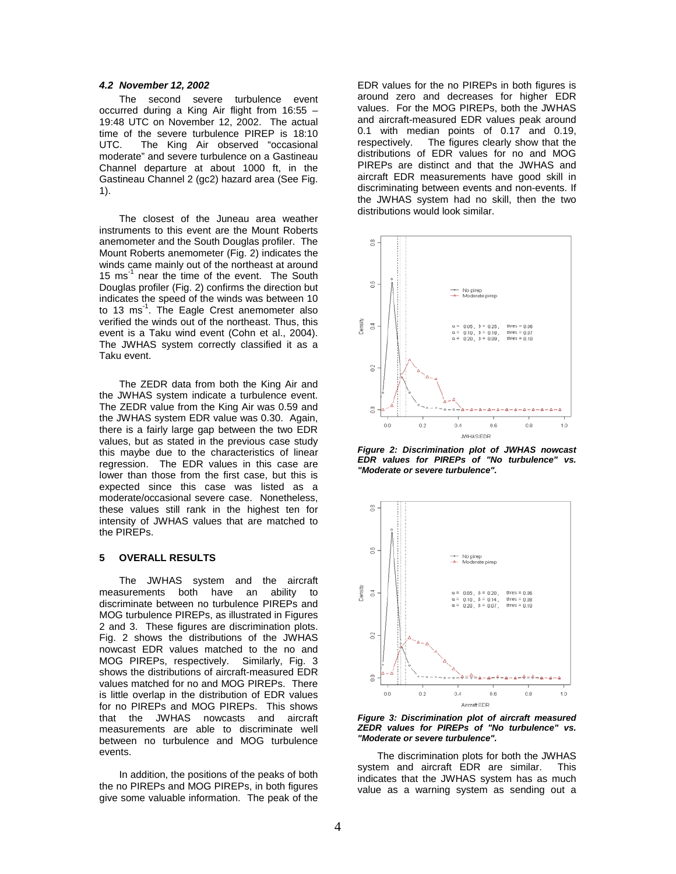#### **4.2 November 12, 2002**

The second severe turbulence event occurred during a King Air flight from 16:55 – 19:48 UTC on November 12, 2002. The actual time of the severe turbulence PIREP is 18:10 UTC. The King Air observed "occasional moderate" and severe turbulence on a Gastineau Channel departure at about 1000 ft, in the Gastineau Channel 2 (gc2) hazard area (See Fig. 1).

The closest of the Juneau area weather instruments to this event are the Mount Roberts anemometer and the South Douglas profiler. The Mount Roberts anemometer (Fig. 2) indicates the winds came mainly out of the northeast at around 15  $\text{ms}^{-1}$  near the time of the event. The South Douglas profiler (Fig. 2) confirms the direction but indicates the speed of the winds was between 10 to 13  $\text{ms}^{-1}$ . The Eagle Crest anemometer also verified the winds out of the northeast. Thus, this event is a Taku wind event (Cohn et al., 2004). The JWHAS system correctly classified it as a Taku event.

The ZEDR data from both the King Air and the JWHAS system indicate a turbulence event. The ZEDR value from the King Air was 0.59 and the JWHAS system EDR value was 0.30. Again, there is a fairly large gap between the two EDR values, but as stated in the previous case study this maybe due to the characteristics of linear regression. The EDR values in this case are lower than those from the first case, but this is expected since this case was listed as a moderate/occasional severe case. Nonetheless, these values still rank in the highest ten for intensity of JWHAS values that are matched to the PIREPs.

## **5 OVERALL RESULTS**

 The JWHAS system and the aircraft measurements both have an ability to discriminate between no turbulence PIREPs and MOG turbulence PIREPs, as illustrated in Figures 2 and 3. These figures are discrimination plots. Fig. 2 shows the distributions of the JWHAS nowcast EDR values matched to the no and MOG PIREPs, respectively. Similarly, Fig. 3 shows the distributions of aircraft-measured EDR values matched for no and MOG PIREPs. There is little overlap in the distribution of EDR values for no PIREPs and MOG PIREPs. This shows that the JWHAS nowcasts and aircraft measurements are able to discriminate well between no turbulence and MOG turbulence events.

In addition, the positions of the peaks of both the no PIREPs and MOG PIREPs, in both figures give some valuable information. The peak of the

EDR values for the no PIREPs in both figures is around zero and decreases for higher EDR values. For the MOG PIREPs, both the JWHAS and aircraft-measured EDR values peak around 0.1 with median points of 0.17 and 0.19, respectively. The figures clearly show that the distributions of EDR values for no and MOG PIREPs are distinct and that the JWHAS and aircraft EDR measurements have good skill in discriminating between events and non-events. If the JWHAS system had no skill, then the two distributions would look similar.



**Figure 2: Discrimination plot of JWHAS nowcast EDR values for PIREPs of "No turbulence" vs. "Moderate or severe turbulence".** 



**Figure 3: Discrimination plot of aircraft measured ZEDR values for PIREPs of "No turbulence" vs. "Moderate or severe turbulence".** 

The discrimination plots for both the JWHAS system and aircraft EDR are similar. This indicates that the JWHAS system has as much value as a warning system as sending out a